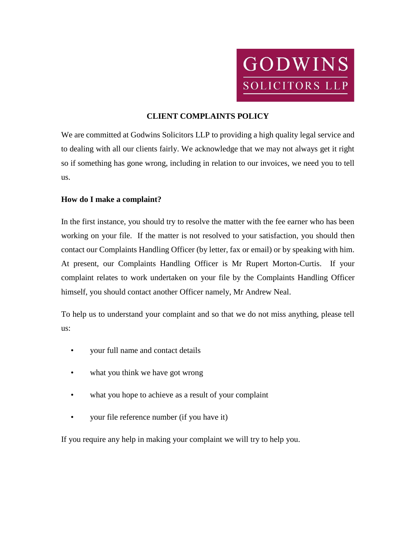

## **CLIENT COMPLAINTS POLICY**

We are committed at Godwins Solicitors LLP to providing a high quality legal service and to dealing with all our clients fairly. We acknowledge that we may not always get it right so if something has gone wrong, including in relation to our invoices, we need you to tell us.

## **How do I make a complaint?**

In the first instance, you should try to resolve the matter with the fee earner who has been working on your file. If the matter is not resolved to your satisfaction, you should then contact our Complaints Handling Officer (by letter, fax or email) or by speaking with him. At present, our Complaints Handling Officer is Mr Rupert Morton-Curtis. If your complaint relates to work undertaken on your file by the Complaints Handling Officer himself, you should contact another Officer namely, Mr Andrew Neal.

To help us to understand your complaint and so that we do not miss anything, please tell us:

- your full name and contact details
- what you think we have got wrong
- what you hope to achieve as a result of your complaint
- your file reference number (if you have it)

If you require any help in making your complaint we will try to help you.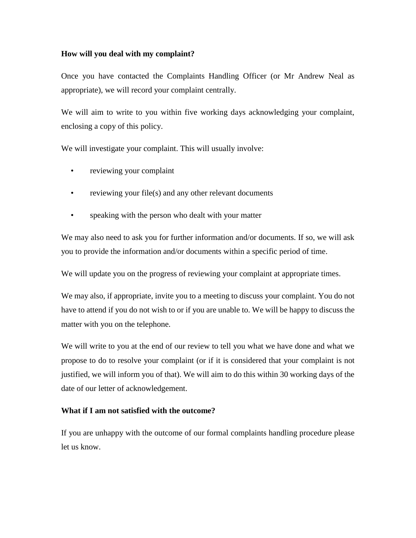#### **How will you deal with my complaint?**

Once you have contacted the Complaints Handling Officer (or Mr Andrew Neal as appropriate), we will record your complaint centrally.

We will aim to write to you within five working days acknowledging your complaint, enclosing a copy of this policy.

We will investigate your complaint. This will usually involve:

- reviewing your complaint
- reviewing your file(s) and any other relevant documents
- speaking with the person who dealt with your matter

We may also need to ask you for further information and/or documents. If so, we will ask you to provide the information and/or documents within a specific period of time.

We will update you on the progress of reviewing your complaint at appropriate times.

We may also, if appropriate, invite you to a meeting to discuss your complaint. You do not have to attend if you do not wish to or if you are unable to. We will be happy to discuss the matter with you on the telephone.

We will write to you at the end of our review to tell you what we have done and what we propose to do to resolve your complaint (or if it is considered that your complaint is not justified, we will inform you of that). We will aim to do this within 30 working days of the date of our letter of acknowledgement.

# **What if I am not satisfied with the outcome?**

If you are unhappy with the outcome of our formal complaints handling procedure please let us know.